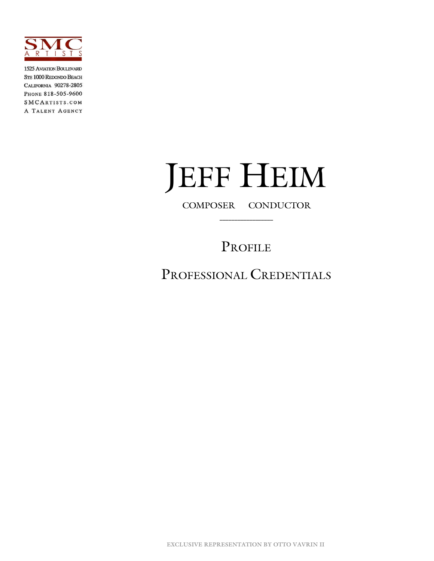

1525 AVIATION BOULEVARD STE 1000 REDONDO BEACH CALIFORNIA 90278-2805 PHONE 818-505-9600 SMCARTISTS.COM A TALENT AGENCY

# JEFF HEIM

 **\_\_\_\_\_\_\_\_\_\_\_\_\_\_\_\_\_\_**

### PROFILE

PROFESSIONAL CREDENTIALS

**EXCLUSIVE REPRESENTATION BY OTTO VAVRIN II**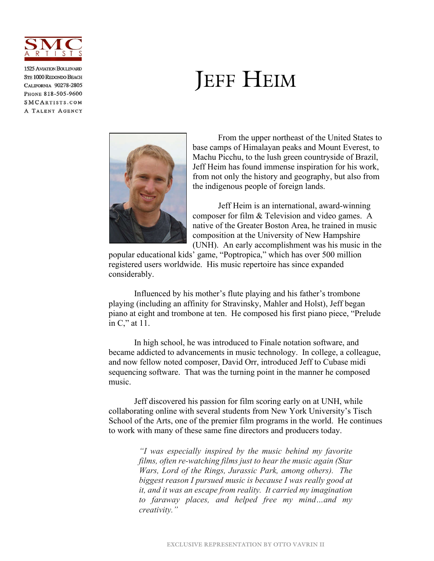

1525 AVIATION BOULEVARD **STE 1000 REDONDO BEACH** CALIFORNIA 90278-2805 PHONE 818-505-9600 SMCARTISTS.COM A TALENT AGENCY

## JEFF HEIM



From the upper northeast of the United States to base camps of Himalayan peaks and Mount Everest, to Machu Picchu, to the lush green countryside of Brazil, Jeff Heim has found immense inspiration for his work, from not only the history and geography, but also from the indigenous people of foreign lands.

Jeff Heim is an international, award-winning composer for film & Television and video games. A native of the Greater Boston Area, he trained in music composition at the University of New Hampshire (UNH). An early accomplishment was his music in the

popular educational kids' game, "Poptropica," which has over 500 million registered users worldwide. His music repertoire has since expanded considerably.

Influenced by his mother's flute playing and his father's trombone playing (including an affinity for Stravinsky, Mahler and Holst), Jeff began piano at eight and trombone at ten. He composed his first piano piece, "Prelude in C," at 11.

In high school, he was introduced to Finale notation software, and became addicted to advancements in music technology. In college, a colleague, and now fellow noted composer, David Orr, introduced Jeff to Cubase midi sequencing software. That was the turning point in the manner he composed music.

Jeff discovered his passion for film scoring early on at UNH, while collaborating online with several students from New York University's Tisch School of the Arts, one of the premier film programs in the world. He continues to work with many of these same fine directors and producers today.

> *"I was especially inspired by the music behind my favorite films, often re-watching films just to hear the music again (Star Wars, Lord of the Rings, Jurassic Park, among others). The biggest reason I pursued music is because I was really good at it, and it was an escape from reality. It carried my imagination to faraway places, and helped free my mind…and my creativity."*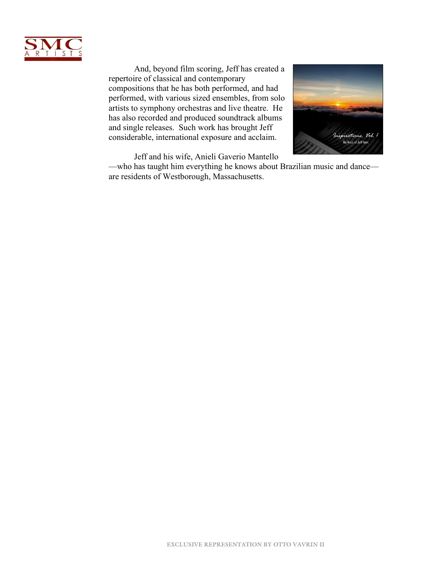

And, beyond film scoring, Jeff has created a repertoire of classical and contemporary compositions that he has both performed, and had performed, with various sized ensembles, from solo artists to symphony orchestras and live theatre. He has also recorded and produced soundtrack albums and single releases. Such work has brought Jeff considerable, international exposure and acclaim.



Jeff and his wife, Anieli Gaverio Mantello

—who has taught him everything he knows about Brazilian music and dance are residents of Westborough, Massachusetts.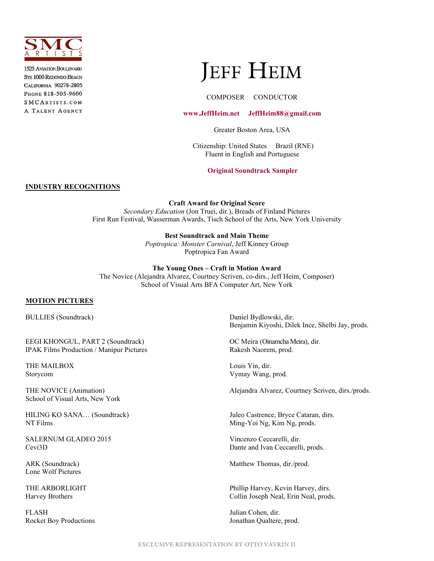

**1525 AVIATION BOULEVARD STE 1000 REDONDO BEACH** CALIFORNIA 90278-2805 PHONE 818-505-9600 SMCARTISTS.COM A TALENT AGENCY

## **JEFF HEIM**

#### COMPOSER CONDUCTOR

#### **[www.JeffHeim.net](http://www.jeffheim.net/about) JeffHeim88@gmail.com**

Greater Boston Area, USA

 Citizenship: United States Brazil (RNE) Fluent in English and Portuguese

**[Original Soundtrack Sampler](http://www.jeffheim.net/music)** 

#### **INDUSTRY RECOGNITIONS**

**Craft Award for Original Score**

*Secondary Education* (Jon Truei, dir.), Breads of Finland Pictures First Run Festival, Wasserman Awards, Tisch School of the Arts, New York University

#### **Best Soundtrack and Main Theme**

*Poptropica: Monster Carnival*, Jeff Kinney Group Poptropica Fan Award

#### **The Young Ones – Craft in Motion Award**

The Novice (Alejandra Alvarez, Courtney Scriven, co-dirs., Jeff Heim, Composer) School of Visual Arts BFA Computer Art, New York

#### **MOTION PICTURES**

BULLIES (Soundtrack) Daniel Bydlowski, dir.

EEGI KHONGUL, PART 2 (Soundtrack) OC Meira (Oinamcha Meira), dir. IPAK Films Production / Manipur Pictures Rakesh Naorem, prod.

THE MAILBOX Louis Yin, dir.

School of Visual Arts, New York

NT Films Ming-Yoi Ng, Kim Ng, prods.

SALERNUM GLADEO 2015 Vincenzo Ceccarelli, dir.

Lone Wolf Pictures

FLASH Julian Cohen, dir.

Benjamin Kiyoshi, Dilek Ince, Shelbi Jay, prods.

Storycom Vymay Wang, prod.

THE NOVICE (Animation) Alejandra Alvarez, Courtney Scriven, dirs./prods.

HILING KO SANA… (Soundtrack) Juleo Castrence, Bryce Cataran, dirs.

Cevi3D Dante and Ivan Ceccarelli, prods.

ARK (Soundtrack) Matthew Thomas, dir./prod.

THE ARBORLIGHT **Phillip Harvey, Kevin Harvey, dirs.** Harvey Brothers Collin Joseph Neal, Erin Neal, prods.

Rocket Boy Productions **Figure 2** and  $\alpha$  Jonathan Qualtere, prod.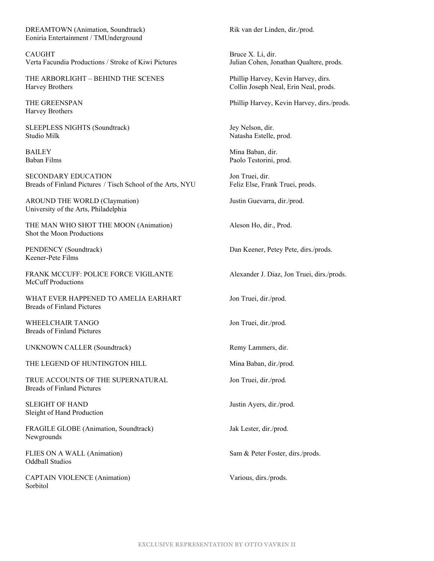DREAMTOWN (Animation, Soundtrack) Rik van der Linden, dir./prod. Eoniria Entertainment / TMUnderground

CAUGHT Bruce X. Li, dir. Verta Facundia Productions / Stroke of Kiwi Pictures Julian Cohen, Jonathan Qualtere, prods.

THE ARBORLIGHT – BEHIND THE SCENES Phillip Harvey, Kevin Harvey, dirs. Harvey Brothers Collin Joseph Neal, Erin Neal, prods.

Harvey Brothers

SLEEPLESS NIGHTS (Soundtrack) Jey Nelson, dir. Studio Milk **Natasha Estelle**, prod.

SECONDARY EDUCATION Jon Truei, dir. Breads of Finland Pictures / Tisch School of the Arts, NYU Feliz Else, Frank Truei, prods.

AROUND THE WORLD (Claymation) Justin Guevarra, dir./prod. University of the Arts, Philadelphia

THE MAN WHO SHOT THE MOON (Animation) Aleson Ho, dir., Prod. Shot the Moon Productions

Keener-Pete Films

FRANK MCCUFF: POLICE FORCE VIGILANTE Alexander J. Diaz, Jon Truei, dirs./prods. McCuff Productions

WHAT EVER HAPPENED TO AMELIA EARHART Jon Truei, dir./prod. Breads of Finland Pictures

WHEELCHAIR TANGO Jon Truei, dir./prod. Breads of Finland Pictures

UNKNOWN CALLER (Soundtrack) Remy Lammers, dir.

THE LEGEND OF HUNTINGTON HILL Mina Baban, dir./prod.

TRUE ACCOUNTS OF THE SUPERNATURAL Jon Truei, dir./prod. Breads of Finland Pictures

SLEIGHT OF HAND Justin Ayers, dir./prod. Sleight of Hand Production

FRAGILE GLOBE (Animation, Soundtrack) Jak Lester, dir./prod. Newgrounds

FLIES ON A WALL (Animation) Sam & Peter Foster, dirs./prods. Oddball Studios

CAPTAIN VIOLENCE (Animation) Various, dirs./prods. Sorbitol

THE GREENSPAN Phillip Harvey, Kevin Harvey, dirs./prods.

BAILEY Mina Baban, dir. Baban Films **Paolo Testorini, prod.** Paolo Testorini, prod.

PENDENCY (Soundtrack) Dan Keener, Petey Pete, dirs./prods.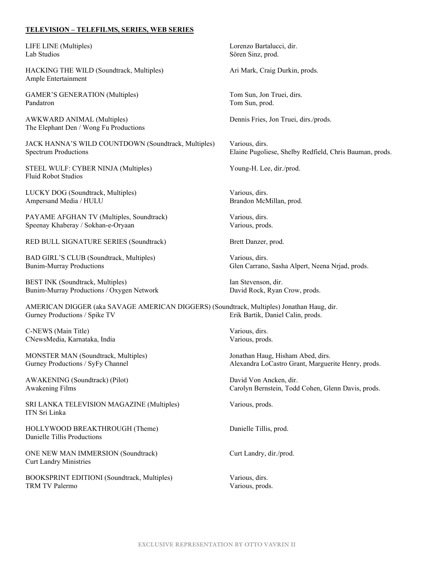#### **TELEVISION – TELEFILMS, SERIES, WEB SERIES**

LIFE LINE (Multiples) Lorenzo Bartalucci, dir. Lab Studios Sören Sinz, prod.

HACKING THE WILD (Soundtrack, Multiples) Ari Mark, Craig Durkin, prods. Ample Entertainment

GAMER'S GENERATION (Multiples) Tom Sun, Jon Truei, dirs. Pandatron Tom Sun, prod.

AWKWARD ANIMAL (Multiples) Dennis Fries, Jon Truei, dirs./prods. The Elephant Den / Wong Fu Productions

JACK HANNA'S WILD COUNTDOWN (Soundtrack, Multiples) Various, dirs. Spectrum Productions Elaine Pugoliese, Shelby Redfield, Chris Bauman, prods.

STEEL WULF: CYBER NINJA (Multiples) Young-H. Lee, dir./prod. Fluid Robot Studios

LUCKY DOG (Soundtrack, Multiples) Various, dirs. Ampersand Media / HULU Brandon McMillan, prod.

PAYAME AFGHAN TV (Multiples, Soundtrack) Various, dirs. Speenay Khaberay / Sokhan-e-Oryaan Various, prods.

RED BULL SIGNATURE SERIES (Soundtrack) Brett Danzer, prod.

BAD GIRL'S CLUB (Soundtrack, Multiples) Various, dirs.

BEST INK (Soundtrack, Multiples) **Ian Stevenson**, dir. Bunim-Murray Productions / Oxygen Network David Rock, Ryan Crow, prods.

AMERICAN DIGGER (aka SAVAGE AMERICAN DIGGERS) (Soundtrack, Multiples) Jonathan Haug, dir. Gurney Productions / Spike TV **Erik Bartik, Daniel Calin, prods.** 

C-NEWS (Main Title) Various, dirs. CNewsMedia, Karnataka, India Various, prods.

MONSTER MAN (Soundtrack, Multiples) Jonathan Haug, Hisham Abed, dirs.

AWAKENING (Soundtrack) (Pilot) David Von Ancken, dir.

SRI LANKA TELEVISION MAGAZINE (Multiples) Various, prods. ITN Sri Linka

HOLLYWOOD BREAKTHROUGH (Theme) Danielle Tillis, prod. Danielle Tillis Productions

ONE NEW MAN IMMERSION (Soundtrack) Curt Landry, dir./prod. Curt Landry Ministries

BOOKSPRINT EDITIONI (Soundtrack, Multiples) Various, dirs. TRM TV Palermo Various, prods.

Bunim-Murray Productions Glen Carrano, Sasha Alpert, Neena Nrjad, prods.

Gurney Productions / SyFy Channel Alexandra LoCastro Grant, Marguerite Henry, prods.

Awakening Films Carolyn Bernstein, Todd Cohen, Glenn Davis, prods.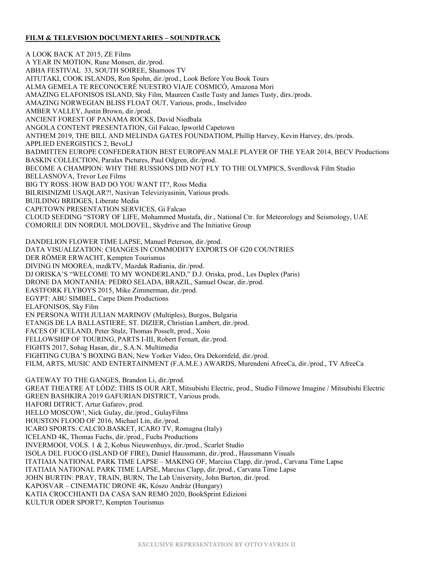#### **FILM & TELEVISION DOCUMENTARIES – SOUNDTRACK**

A LOOK BACK AT 2015, ZE Films A YEAR IN MOTION, Rune Monsen, dir./prod. ABHA FESTIVAL 33, SOUTH SOIREE, Shamoos TV AITUTAKI, COOK ISLANDS, Ron Spohn, dir./prod., Look Before You Book Tours ALMA GEMELA TE RECONOCERÉ NUESTRO VIAJE COSMICÓ, Amazona Mori AMAZING ELAFONISOS ISLAND, Sky Film, Maureen Castle Tusty and James Tusty, dirs./prods. AMAZING NORWEGIAN BLISS FLOAT OUT, Various, prods., Inselvideo AMBER VALLEY, Justin Brown, dir./prod. ANCIENT FOREST OF PANAMA ROCKS, David Niedbala ANGOLA CONTENT PRESENTATION, Gil Falcao, Ipworld Capetown ANTHEM 2019, THE BILL AND MELINDA GATES FOUNDATIOM, Phillip Harvey, Kevin Harvey, drs./prods. APPLIED ENERGISTICS 2, BevoLJ BADMITTEN EUROPE CONFEDERATION BEST EUROPEAN MALE PLAYER OF THE YEAR 2014, BECV Productions BASKIN COLLECTION, Paralax Pictures, Paul Odgren, dir./prod. BECOME A CHAMPION: WHY THE RUSSIONS DID NOT FLY TO THE OLYMPICS, Sverdlovsk Film Studio BELLASNOVA, Trevor Lee Films BIG TY ROSS: HOW BAD DO YOU WANT IT?, Ross Media BILRISINIZMI USAQLAR?!, Naxivan Televiziyasinin, Various prods. BUILDING BRIDGES, Liberate Media CAPETOWN PRESENTATION SERVICES, Gi Falcao CLOUD SEEDING "STORY OF LIFE, Mohammed Mustafa, dir., National Ctr. for Meteorology and Seismology, UAE COMORILE DIN NORDUL MOLDOVEL, Skydrive and The Initiative Group

DANDELION FLOWER TIME LAPSE, Manuel Peterson, dir./prod. DATA VISUALIZATION: CHANGES IN COMMODITY EXPORTS OF G20 COUNTRIES DER RÖMER ERWACHT, Kempten Tourismus DIVING IN MOOREA, mzdkTV, Mazdak Radiania, dir./prod. DJ ORISKA'S "WELCOME TO MY WONDERLAND," D.J. Oriska, prod., Les Duplex (Paris) DRONE DA MONTANHA: PEDRO SELADA, BRAZIL, Samuel Oscar, dir./prod. EASTFORK FLYBOYS 2015, Mike Zimmerman, dir./prod. EGYPT: ABU SIMBEL, Carpe Diem Productions ELAFONISOS, Sky Film EN PERSONA WITH JULIAN MARINOV (Multiples), Burgos, Bulgaria ETANGS DE LA BALLASTIERE, ST. DIZIER, Christian Lambert, dir./prod. FACES OF ICELAND, Peter Stulz, Thomas Posselt, prod., Xoio FELLOWSHIP OF TOURING, PARTS I-III, Robert Fernatt, dir./prod. FIGHTS 2017, Sohag Hasan, dir., S.A.N. Multimedia FIGHTING CUBA'S BOXING BAN, New Yorker Video, Ora Dekornfeld, dir./prod. FILM, ARTS, MUSIC AND ENTERTAINMENT (F.A.M.E.) AWARDS, Murendeni AfreeCa, dir./prod., TV AfreeCa

GATEWAY TO THE GANGES, Brandon Li, dir./prod. GREAT THEATRE AT LÓDZ: THIS IS OUR ART, Mitsubishi Electric, prod., Studio Filmowe Imagine / Mitsubishi Electric GREEN BASHKIRA 2019 GAFURIAN DISTRICT, Various prods. HAFORI DITRICT, Artur Gafarov, prod. HELLO MOSCOW!, Nick Gulay, dir./prod., GulayFilms HOUSTON FLOOD OF 2016, Michael Lin, dir./prod. ICARO SPORTS: CALCIO.BASKET, ICARO TV, Romagna (Italy) ICELAND 4K, Thomas Fuchs, dir./prod., Fuchs Productions INVERMOOI, VOLS. 1 & 2, Kobus Nieuwenhuys, dir./prod., Scarlet Studio ISOLA DEL FUOCO (ISLAND OF FIRE), Daniel Haussmann, dir./prod., Haussmann Visuals ITATIAIA NATIONAL PARK TIME LAPSE – MAKING OF, Marcius Clapp, dir./prod., Carvana Time Lapse ITATIAIA NATIONAL PARK TIME LAPSE, Marcius Clapp, dir./prod., Carvana Time Lapse JOHN BURTIN: PRAY, TRAIN, BURN, The Lab University, John Burton, dir./prod. KAPOSVAR – CINEMATIC DRONE 4K, Kószo Andráz (Hungary) KATIA CROCCHIANTI DA CASA SAN REMO 2020, BookSprint Edizioni KULTUR ODER SPORT?, Kempten Tourismus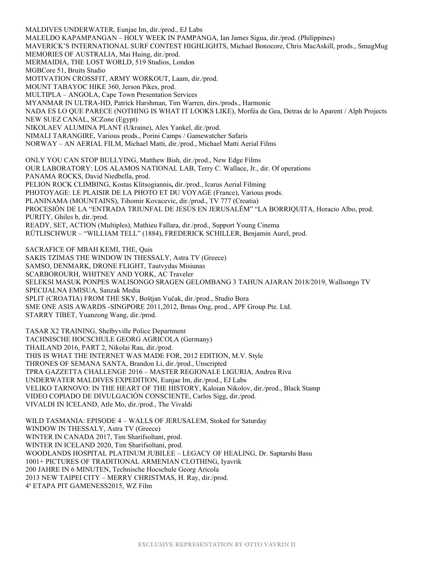MALDIVES UNDERWATER, Eunjae Im, dir./prod., EJ Labs MALELDO KAPAMPANGAN – HOLY WEEK IN PAMPANGA, Ian James Sigua, dir./prod. (Philippines) MAVERICK'S INTERNATIONAL SURF CONTEST HIGHLIGHTS, Michael Bonocore, Chris MacAskill, prods., SmugMug MEMORIES OF AUSTRALIA, Mai Huing, dir./prod. MERMAIDIA, THE LOST WORLD, 519 Studios, London MGBCore 51, Bruits Studio MOTIVATION CROSSFIT, ARMY WORKOUT, Laam, dir./prod. MOUNT TABAYOC HIKE 360, Jerson Pikes, prod. MULTIPLA – ANGOLA, Cape Town Presentation Services MYANMAR IN ULTRA-HD, Patrick Harshman, Tim Warren, dirs./prods., Harmonic NADA ES LO QUE PARECE (NOTHING IS WHAT IT LOOKS LIKE), Morféa de Gea, Detras de lo Aparent / Alph Projects NEW SUEZ CANAL, SCZone (Egypt) NIKOLAEV ALUMINA PLANT (Ukraine), Alex Yankel, dir./prod. NIMALI TARANGIRE, Various prods., Porini Camps / Gamewatcher Safaris NORWAY – AN AERIAL FILM, Michael Matti, dir./prod., Michael Matti Aerial Films ONLY YOU CAN STOP BULLYING, Matthew Bish, dir./prod., New Edge Films OUR LABORATORY: LOS ALAMOS NATIONAL LAB, Terry C. Wallace, Jr., dir. Of operations PANAMA ROCKS, David Niedbella, prod. PELION ROCK CLIMBING, Kostas Klitsogiannis**,** dir./prod., Icarus Aerial Filming PHOTOYAGE: LE PLAISIR DE LA PHOTO ET DU VOYAGE (France), Various prods. PLANINAMA (MOUNTAINS), Tihomir Kovacevic, dir./prod., TV 777 (Croatia) PROCESIÓN DE LA "ENTRADA TRIUNFAL DE JESÚS EN JERUSALÉM" "LA BORRIQUITA, Horacio Albo, prod. PURITY, Ghiles b, dir./prod. READY, SET, ACTION (Multiples), Mathieu Fallara, dir./prod., Support Young Cinema RÜTLISCHWUR – "WILLIAM TELL" (1884), FREDERICK SCHILLER, Benjamin Aurel, prod. SACRAFICE OF MBAH KEMI, THE, Quis SAKIS TZIMAS THE WINDOW IN THESSALY, Astra TV (Greece) SAMSO, DENMARK, DRONE FLIGHT, Tautvydas Misiunas SCARBOROURH, WHITNEY AND YORK, AC Traveler SELEKSI MASUK PONPES WALISONGO SRAGEN GELOMBANG 3 TAHUN AJARAN 2018/2019, Wallsongo TV SPECIJALNA EMISUA, Sanzak Media SPLIT (CROATIA) FROM THE SKY, Boštjan Vučak, dir./prod., Studio Bora SME ONE ASIS AWARDS -SINGPORE 2011,2012, Brnas Ong, prod., APF Group Pte. Ltd. STARRY TIBET, Yuanzong Wang, dir./prod.

TASAR X2 TRAINING, Shelbyville Police Department TACHNISCHE HOCSCHULE GEORG AGRICOLA (Germany) THAILAND 2016, PART 2, Nikolai Rau, dir./prod. THIS IS WHAT THE INTERNET WAS MADE FOR, 2012 EDITION, M.V. Style THRONES OF SEMANA SANTA, Brandon Li, dir./prod., Unscripted TPRA GAZZETTA CHALLENGE 2016 – MASTER REGIONALE LIGURIA, Andrea Riva UNDERWATER MALDIVES EXPEDITION, Eunjae Im, dir./prod., EJ Labs VELIKO TARNOVO: IN THE HEART OF THE HISTORY, Kaloian Nikolov, dir./prod., Black Stamp VIDEO COPIADO DE DIVULGACIÓN CONSCIENTE, Carlos Sigg, dir./prod. VIVALDI IN ICELAND, Atle Mo, dir./prod., The Vivaldi

WILD TASMANIA: EPISODE 4 – WALLS OF JERUSALEM, Stoked for Saturday WINDOW IN THESSALY, Astra TV (Greece) WINTER IN CANADA 2017, Tim Sharifsoltani, prod. WINTER IN ICELAND 2020, Tim Sharifsoltani, prod. WOODLANDS HOSPITAL PLATINUM JUBILEE – LEGACY OF HEALING, Dr. Saptarshi Basu 1001+ PICTURES OF TRADITIONAL ARMENIAN CLOTHING, Iyavrik 200 JAHRE IN 6 MINUTEN, Technische Hocschule Georg Aricola 2013 NEW TAIPEI CITY – MERRY CHRISTMAS, H. Ray, dir./prod. 4a ETAPA PIT GAMENESS2015, WZ Film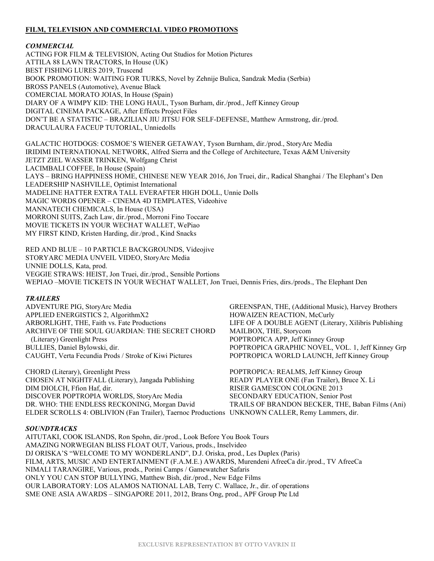#### **FILM, TELEVISION AND COMMERCIAL VIDEO PROMOTIONS**

#### *COMMERCIAL*

ACTING FOR FILM & TELEVISION, Acting Out Studios for Motion Pictures ATTILA 88 LAWN TRACTORS, In House (UK) BEST FISHING LURES 2019, Truscend BOOK PROMOTION: WAITING FOR TURKS, Novel by Zehnije Bulica, Sandzak Media (Serbia) BROSS PANELS (Automotive), Avenue Black COMERCIAL MORATO JOIAS, In House (Spain) DIARY OF A WIMPY KID: THE LONG HAUL, Tyson Burham, dir./prod., Jeff Kinney Group DIGITAL CINEMA PACKAGE, After Effects Project Files DON'T BE A STATISTIC – BRAZILIAN JIU JITSU FOR SELF-DEFENSE, Matthew Armstrong, dir./prod. DRACULAURA FACEUP TUTORIAL, Unniedolls

GALACTIC HOTDOGS: COSMOE'S WIENER GETAWAY, Tyson Burnham, dir./prod., StoryArc Media IRIDIMI INTERNATIONAL NETWORK, Alfred Sierra and the College of Architecture, Texas A&M University JETZT ZIEL WASSER TRINKEN, Wolfgang Christ LACIMBALI COFFEE, In House (Spain) LAYS – BRING HAPPINESS HOME, CHINESE NEW YEAR 2016, Jon Truei, dir., Radical Shanghai / The Elephant's Den LEADERSHIP NASHVILLE, Optimist International MADELINE HATTER EXTRA TALL EVERAFTER HIGH DOLL, Unnie Dolls MAGIC WORDS OPENER – CINEMA 4D TEMPLATES, Videohive MANNATECH CHEMICALS, In House (USA) MORRONI SUITS, Zach Law, dir./prod., Morroni Fino Toccare MOVIE TICKETS IN YOUR WECHAT WALLET, WePiao MY FIRST KIND, Kristen Harding, dir./prod., Kind Snacks

RED AND BLUE – 10 PARTICLE BACKGROUNDS, Videojive STORYARC MEDIA UNVEIL VIDEO, StoryArc Media UNNIE DOLLS, Kata, prod. VEGGIE STRAWS: HEIST, Jon Truei, dir./prod., Sensible Portions WEPIAO –MOVIE TICKETS IN YOUR WECHAT WALLET, Jon Truei, Dennis Fries, dirs./prods., The Elephant Den

#### *TRAILERS*

| ADVENTURE PIG, StoryArc Media                          | GREENSPAN, THE, (Additional Music), Harvey Brothers   |
|--------------------------------------------------------|-------------------------------------------------------|
| APPLIED ENERGISTICS 2, AlgorithmX2                     | HOWAIZEN REACTION, McCurly                            |
| ARBORLIGHT, THE, Faith vs. Fate Productions            | LIFE OF A DOUBLE AGENT (Literary, Xilibris Publishing |
| ARCHIVE OF THE SOUL GUARDIAN: THE SECRET CHORD         | MAILBOX, THE, Storycom                                |
| (Literary) Greenlight Press                            | POPTROPICA APP, Jeff Kinney Group                     |
| BULLIES, Daniel Bylowski, dir.                         | POPTROPICA GRAPHIC NOVEL, VOL. 1, Jeff Kinney Grp     |
| CAUGHT, Verta Fecundia Prods / Stroke of Kiwi Pictures | POPTROPICA WORLD LAUNCH, Jeff Kinney Group            |
| CHORD (Literary), Greenlight Press                     | POPTROPICA: REALMS, Jeff Kinney Group                 |
| CHOSEN AT NIGHTFALL (Literary), Jangada Publishing     | READY PLAYER ONE (Fan Trailer), Bruce X. Li           |
| DIM DIOLCH, Ffion Haf, dir.                            | <b>RISER GAMESCON COLOGNE 2013</b>                    |
| DISCOVER POPTROPIA WORLDS, StoryArc Media              | <b>SECONDARY EDUCATION, Senior Post</b>               |
| DR. WHO: THE ENDLESS RECKONING, Morgan David           | TRAILS OF BRANDON BECKER, THE, Baban Films (Ani)      |

#### *SOUNDTRACKS*

AITUTAKI, COOK ISLANDS, Ron Spohn, dir./prod., Look Before You Book Tours AMAZING NORWEGIAN BLISS FLOAT OUT, Various, prods., Inselvideo DJ ORISKA'S "WELCOME TO MY WONDERLAND", D.J. Oriska, prod., Les Duplex (Paris) FILM, ARTS, MUSIC AND ENTERTAINMENT (F.A.M.E.) AWARDS, Murendeni AfreeCa dir./prod., TV AfreeCa NIMALI TARANGIRE, Various, prods., Porini Camps / Gamewatcher Safaris ONLY YOU CAN STOP BULLYING, Matthew Bish, dir./prod., New Edge Films OUR LABORATORY: LOS ALAMOS NATIONAL LAB, Terry C. Wallace, Jr., dir. of operations SME ONE ASIA AWARDS – SINGAPORE 2011, 2012, Brans Ong, prod., APF Group Pte Ltd

ELDER SCROLLS 4: OBLIVION (Fan Trailer), Taernoc Productions UNKNOWN CALLER, Remy Lammers, dir.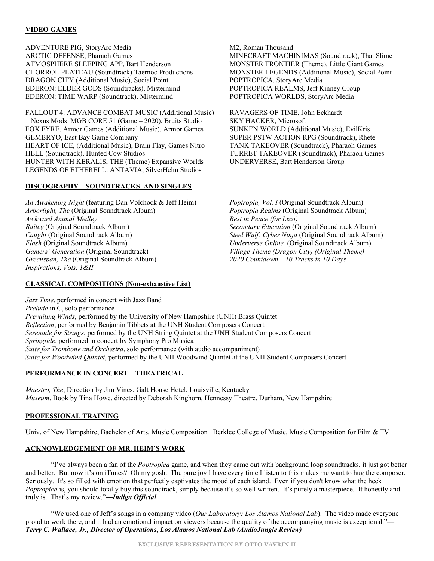#### **VIDEO GAMES**

ADVENTURE PIG, StoryArc Media M2, Roman Thousand ARCTIC DEFENSE, Pharaoh Games MINECRAFT MACHINIMAS (Soundtrack), That Slime ATMOSPHERE SLEEPING APP, Bart Henderson MONSTER FRONTIER (Theme), Little Giant Games CHORROL PLATEAU (Soundtrack) Taernoc Productions MONSTER LEGENDS (Additional Music), Social Point DRAGON CITY (Additional Music), Social Point POPTROPICA, StoryArc Media EDERON: ELDER GODS (Soundtracks), Mistermind POPTROPICA REALMS, Jeff Kinney Group<br>
EDERON: TIME WARP (Soundtrack), Mistermind POPTROPICA WORLDS, StoryArc Media EDERON: TIME WARP (Soundtrack), Mistermind

FALLOUT 4: ADVANCE COMBAT MUSIC (Additional Music) RAVAGERS OF TIME, John Eckhardt Nexus Mods MGB CORE 51 (Game – 2020), Bruits Studio SKY HACKER, Microsoft FOX FYRE, Armor Games (Additional Music), Armor Games SUNKEN WORLD (Additional Music), EvilKris GEMBRYO, East Bay Game Company SUPER PSTW ACTION RPG (Soundtrack), Rhete<br>HEART OF ICE, (Additional Music), Brain Flay, Games Nitro TANK TAKEOVER (Soundtrack), Pharaoh Games HEART OF ICE, (Additional Music), Brain Flay, Games Nitro HELL (Soundtrack), Hunted Cow Studios TURRET TAKEOVER (Soundtrack), Pharaoh Games HUNTER WITH KERALIS, THE (Theme) Expansive Worlds UNDERVERSE, Bart Henderson Group LEGENDS OF ETHERELL: ANTAVIA, SilverHelm Studios

#### **DISCOGRAPHY – SOUNDTRACKS AND SINGLES**

*An Awakening Night* (featuring Dan Volchock & Jeff Heim) *Poptropia, Vol. I* (Original Soundtrack Album) *Poptropia Realms* (Original Soundtrack Album) *Awkward Animal Medley Rest in Peace (for Lizzi) Bailey* (Original Soundtrack Album) *Secondary Education* (Original Soundtrack Album) *Caught* (Original Soundtrack Album) *Steel Wulf: Cyber Ninja* (Original Soundtrack Album) *Flash* (Original Soundtrack Album) *Underverse Online* (Original Soundtrack Album) *Greenspan, The* (Original Soundtrack Album) *2020 Countdown – 10 Tracks in 10 Days Inspirations, Vols. 1&II*

*Arborlight, The* (Original Soundtrack Album) *Poptropia Realms* (Original Soundtrack Album) *Village Theme (Dragon City) (Original Theme)* 

#### **CLASSICAL COMPOSITIONS (Non-exhaustive List)**

*Jazz Time*, performed in concert with Jazz Band *Prelude* in C, solo performance *Prevailing Winds*, performed by the University of New Hampshire (UNH) Brass Quintet *Reflection*, performed by Benjamin Tibbets at the UNH Student Composers Concert *Serenade for Strings*, performed by the UNH String Quintet at the UNH Student Composers Concert *Springtide*, performed in concert by Symphony Pro Musica *Suite for Trombone and Orchestra*, solo performance (with audio accompaniment) *Suite for Woodwind Quintet*, performed by the UNH Woodwind Quintet at the UNH Student Composers Concert

#### **PERFORMANCE IN CONCERT – THEATRICAL**

*Maestro, The*, Direction by Jim Vines, Galt House Hotel, Louisville, Kentucky *Museum*, Book by Tina Howe, directed by Deborah Kinghorn, Hennessy Theatre, Durham, New Hampshire

#### **PROFESSIONAL TRAINING**

Univ. of New Hampshire, Bachelor of Arts, Music Composition Berklee College of Music, Music Composition for Film & TV

#### **ACKNOWLEDGEMENT OF MR. HEIM'S WORK**

"I've always been a fan of the *Poptropica* game, and when they came out with background loop soundtracks, it just got better and better. But now it's on iTunes? Oh my gosh. The pure joy I have every time I listen to this makes me want to hug the composer. Seriously. It's so filled with emotion that perfectly captivates the mood of each island. Even if you don't know what the heck *Poptropica* is, you should totally buy this soundtrack, simply because it's so well written. It's purely a masterpiece. It honestly and truly is. That's my review."*—Indiga Official*

"We used one of Jeff's songs in a company video (*Our Laboratory: Los Alamos National Lab*). The video made everyone proud to work there, and it had an emotional impact on viewers because the quality of the accompanying music is exceptional."*— Terry C. Wallace, Jr., Director of Operations, Los Alamos National Lab (AudioJungle Review)*